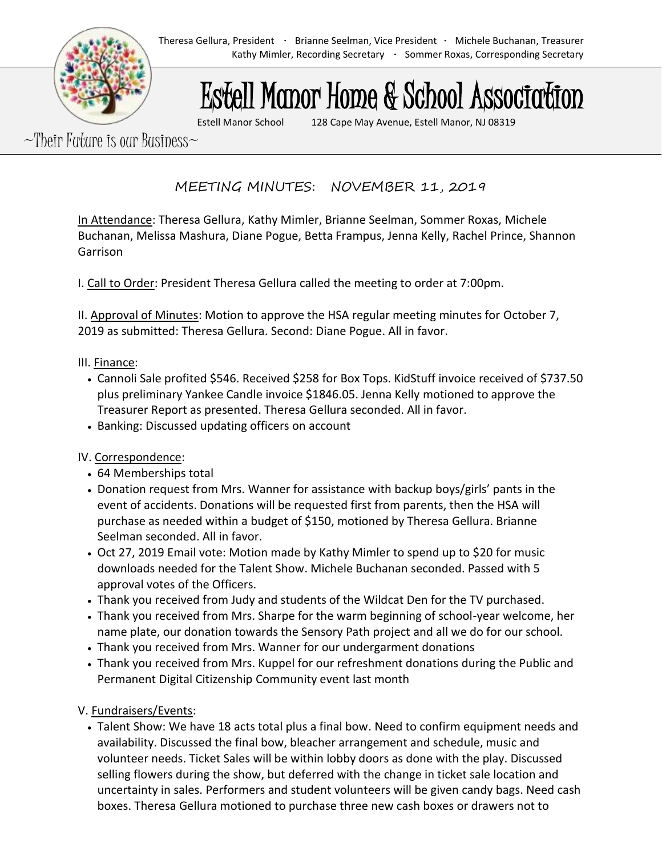# Estell Manor Home & School Association

Estell Manor School 128 Cape May Avenue, Estell Manor, NJ 08319

 $-$ Their Future is our Business $\sim$ 

MEETING MINUTES: NOVEMBER 11, 2019

In Attendance: Theresa Gellura, Kathy Mimler, Brianne Seelman, Sommer Roxas, Michele Buchanan, Melissa Mashura, Diane Pogue, Betta Frampus, Jenna Kelly, Rachel Prince, Shannon Garrison

I. Call to Order: President Theresa Gellura called the meeting to order at 7:00pm.

II. Approval of Minutes: Motion to approve the HSA regular meeting minutes for October 7, 2019 as submitted: Theresa Gellura. Second: Diane Pogue. All in favor.

#### III. Finance:

- Cannoli Sale profited \$546. Received \$258 for Box Tops. KidStuff invoice received of \$737.50 plus preliminary Yankee Candle invoice \$1846.05. Jenna Kelly motioned to approve the Treasurer Report as presented. Theresa Gellura seconded. All in favor.
- Banking: Discussed updating officers on account

## IV. Correspondence:

- 64 Memberships total
- Donation request from Mrs. Wanner for assistance with backup boys/girls' pants in the event of accidents. Donations will be requested first from parents, then the HSA will purchase as needed within a budget of \$150, motioned by Theresa Gellura. Brianne Seelman seconded. All in favor.
- Oct 27, 2019 Email vote: Motion made by Kathy Mimler to spend up to \$20 for music downloads needed for the Talent Show. Michele Buchanan seconded. Passed with 5 approval votes of the Officers.
- Thank you received from Judy and students of the Wildcat Den for the TV purchased.
- Thank you received from Mrs. Sharpe for the warm beginning of school-year welcome, her name plate, our donation towards the Sensory Path project and all we do for our school.
- Thank you received from Mrs. Wanner for our undergarment donations
- Thank you received from Mrs. Kuppel for our refreshment donations during the Public and Permanent Digital Citizenship Community event last month

## V. Fundraisers/Events:

• Talent Show: We have 18 acts total plus a final bow. Need to confirm equipment needs and availability. Discussed the final bow, bleacher arrangement and schedule, music and volunteer needs. Ticket Sales will be within lobby doors as done with the play. Discussed selling flowers during the show, but deferred with the change in ticket sale location and uncertainty in sales. Performers and student volunteers will be given candy bags. Need cash boxes. Theresa Gellura motioned to purchase three new cash boxes or drawers not to